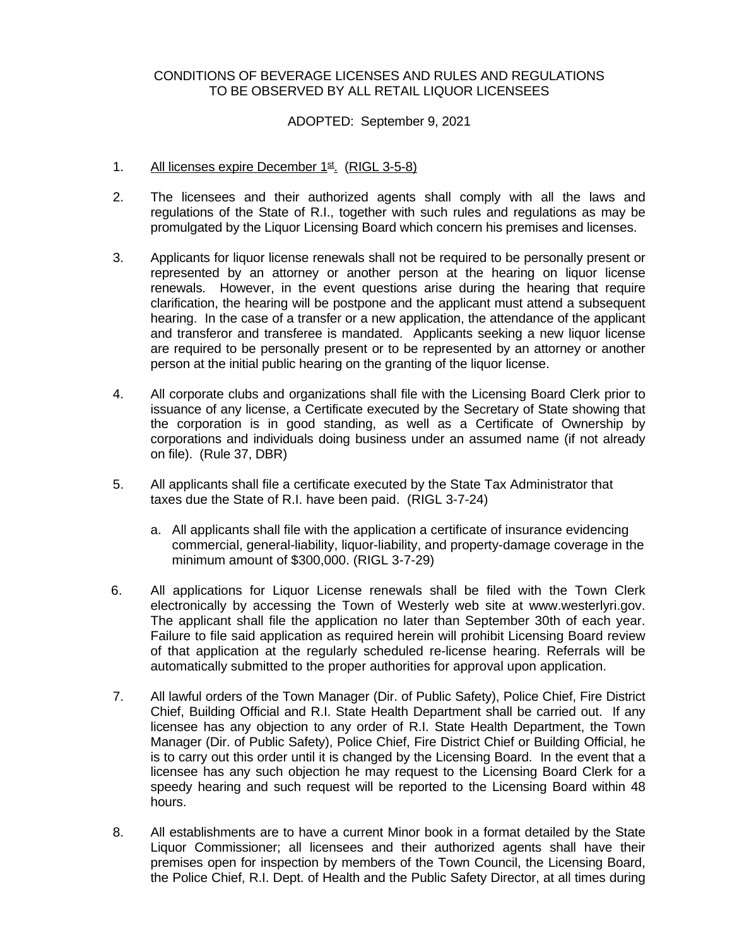## CONDITIONS OF BEVERAGE LICENSES AND RULES AND REGULATIONS TO BE OBSERVED BY ALL RETAIL LIQUOR LICENSEES

## ADOPTED: September 9, 2021

- 1. All licenses expire December 1<sup>st</sup>. (RIGL 3-5-8)
- 2. The licensees and their authorized agents shall comply with all the laws and regulations of the State of R.I., together with such rules and regulations as may be promulgated by the Liquor Licensing Board which concern his premises and licenses.
- 3. Applicants for liquor license renewals shall not be required to be personally present or represented by an attorney or another person at the hearing on liquor license renewals. However, in the event questions arise during the hearing that require clarification, the hearing will be postpone and the applicant must attend a subsequent hearing. In the case of a transfer or a new application, the attendance of the applicant and transferor and transferee is mandated. Applicants seeking a new liquor license are required to be personally present or to be represented by an attorney or another person at the initial public hearing on the granting of the liquor license.
- 4. All corporate clubs and organizations shall file with the Licensing Board Clerk prior to issuance of any license, a Certificate executed by the Secretary of State showing that the corporation is in good standing, as well as a Certificate of Ownership by corporations and individuals doing business under an assumed name (if not already on file). (Rule 37, DBR)
- 5. All applicants shall file a certificate executed by the State Tax Administrator that taxes due the State of R.I. have been paid. (RIGL 3-7-24)
	- a. All applicants shall file with the application a certificate of insurance evidencing commercial, general-liability, liquor-liability, and property-damage coverage in the minimum amount of \$300,000. (RIGL 3-7-29)
- 6. All applications for Liquor License renewals shall be filed with the Town Clerk electronically by accessing the Town of Westerly web site at www.westerlyri.gov. The applicant shall file the application no later than September 30th of each year. Failure to file said application as required herein will prohibit Licensing Board review of that application at the regularly scheduled re-license hearing. Referrals will be automatically submitted to the proper authorities for approval upon application.
- 7. All lawful orders of the Town Manager (Dir. of Public Safety), Police Chief, Fire District Chief, Building Official and R.I. State Health Department shall be carried out. If any licensee has any objection to any order of R.I. State Health Department, the Town Manager (Dir. of Public Safety), Police Chief, Fire District Chief or Building Official, he is to carry out this order until it is changed by the Licensing Board. In the event that a licensee has any such objection he may request to the Licensing Board Clerk for a speedy hearing and such request will be reported to the Licensing Board within 48 hours.
- 8. All establishments are to have a current Minor book in a format detailed by the State Liquor Commissioner; all licensees and their authorized agents shall have their premises open for inspection by members of the Town Council, the Licensing Board, the Police Chief, R.I. Dept. of Health and the Public Safety Director, at all times during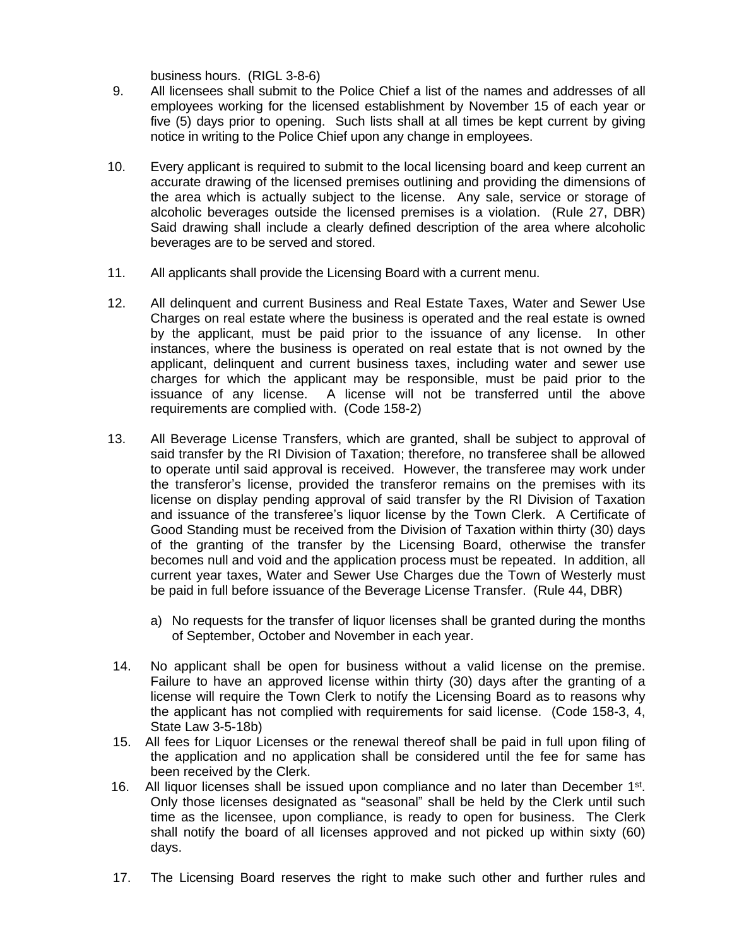business hours. (RIGL 3-8-6)

- 9. All licensees shall submit to the Police Chief a list of the names and addresses of all employees working for the licensed establishment by November 15 of each year or five (5) days prior to opening. Such lists shall at all times be kept current by giving notice in writing to the Police Chief upon any change in employees.
- 10. Every applicant is required to submit to the local licensing board and keep current an accurate drawing of the licensed premises outlining and providing the dimensions of the area which is actually subject to the license. Any sale, service or storage of alcoholic beverages outside the licensed premises is a violation. (Rule 27, DBR) Said drawing shall include a clearly defined description of the area where alcoholic beverages are to be served and stored.
- 11. All applicants shall provide the Licensing Board with a current menu.
- 12. All delinquent and current Business and Real Estate Taxes, Water and Sewer Use Charges on real estate where the business is operated and the real estate is owned by the applicant, must be paid prior to the issuance of any license. In other instances, where the business is operated on real estate that is not owned by the applicant, delinquent and current business taxes, including water and sewer use charges for which the applicant may be responsible, must be paid prior to the issuance of any license. A license will not be transferred until the above requirements are complied with. (Code 158-2)
- 13. All Beverage License Transfers, which are granted, shall be subject to approval of said transfer by the RI Division of Taxation; therefore, no transferee shall be allowed to operate until said approval is received. However, the transferee may work under the transferor's license, provided the transferor remains on the premises with its license on display pending approval of said transfer by the RI Division of Taxation and issuance of the transferee's liquor license by the Town Clerk. A Certificate of Good Standing must be received from the Division of Taxation within thirty (30) days of the granting of the transfer by the Licensing Board, otherwise the transfer becomes null and void and the application process must be repeated. In addition, all current year taxes, Water and Sewer Use Charges due the Town of Westerly must be paid in full before issuance of the Beverage License Transfer. (Rule 44, DBR)
	- a) No requests for the transfer of liquor licenses shall be granted during the months of September, October and November in each year.
- 14. No applicant shall be open for business without a valid license on the premise. Failure to have an approved license within thirty (30) days after the granting of a license will require the Town Clerk to notify the Licensing Board as to reasons why the applicant has not complied with requirements for said license. (Code 158-3, 4, State Law 3-5-18b)
- 15. All fees for Liquor Licenses or the renewal thereof shall be paid in full upon filing of the application and no application shall be considered until the fee for same has been received by the Clerk.
- 16. All liquor licenses shall be issued upon compliance and no later than December 1<sup>st</sup>. Only those licenses designated as "seasonal" shall be held by the Clerk until such time as the licensee, upon compliance, is ready to open for business. The Clerk shall notify the board of all licenses approved and not picked up within sixty (60) days.
- 17. The Licensing Board reserves the right to make such other and further rules and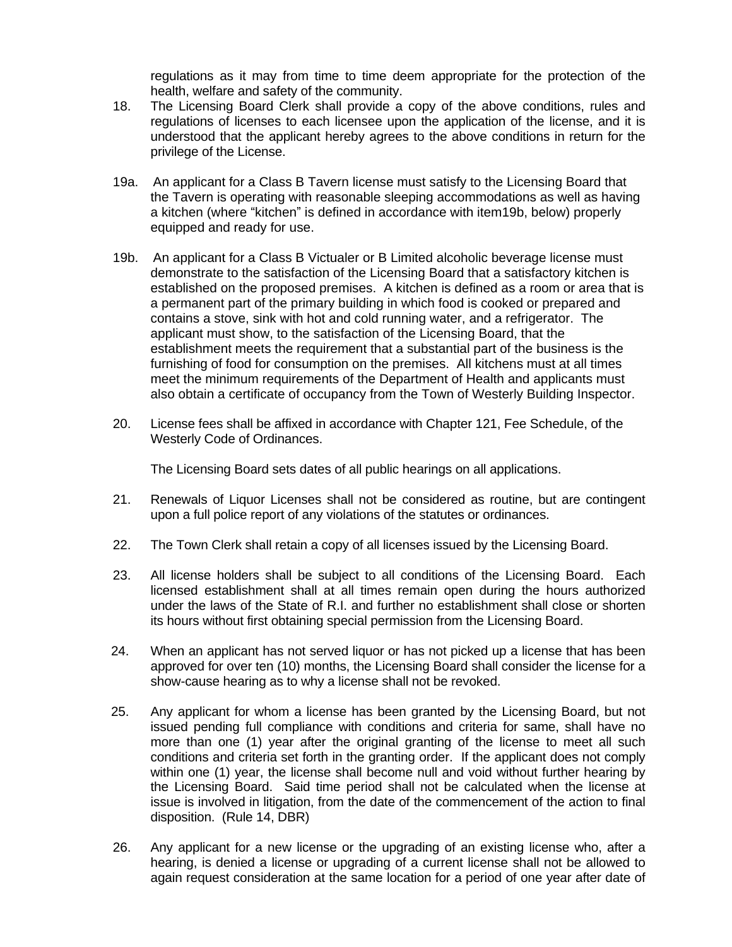regulations as it may from time to time deem appropriate for the protection of the health, welfare and safety of the community.

- 18. The Licensing Board Clerk shall provide a copy of the above conditions, rules and regulations of licenses to each licensee upon the application of the license, and it is understood that the applicant hereby agrees to the above conditions in return for the privilege of the License.
- 19a. An applicant for a Class B Tavern license must satisfy to the Licensing Board that the Tavern is operating with reasonable sleeping accommodations as well as having a kitchen (where "kitchen" is defined in accordance with item19b, below) properly equipped and ready for use.
- 19b. An applicant for a Class B Victualer or B Limited alcoholic beverage license must demonstrate to the satisfaction of the Licensing Board that a satisfactory kitchen is established on the proposed premises. A kitchen is defined as a room or area that is a permanent part of the primary building in which food is cooked or prepared and contains a stove, sink with hot and cold running water, and a refrigerator. The applicant must show, to the satisfaction of the Licensing Board, that the establishment meets the requirement that a substantial part of the business is the furnishing of food for consumption on the premises. All kitchens must at all times meet the minimum requirements of the Department of Health and applicants must also obtain a certificate of occupancy from the Town of Westerly Building Inspector.
- 20. License fees shall be affixed in accordance with Chapter 121, Fee Schedule, of the Westerly Code of Ordinances.

The Licensing Board sets dates of all public hearings on all applications.

- 21. Renewals of Liquor Licenses shall not be considered as routine, but are contingent upon a full police report of any violations of the statutes or ordinances.
- 22. The Town Clerk shall retain a copy of all licenses issued by the Licensing Board.
- 23. All license holders shall be subject to all conditions of the Licensing Board. Each licensed establishment shall at all times remain open during the hours authorized under the laws of the State of R.I. and further no establishment shall close or shorten its hours without first obtaining special permission from the Licensing Board.
- 24. When an applicant has not served liquor or has not picked up a license that has been approved for over ten (10) months, the Licensing Board shall consider the license for a show-cause hearing as to why a license shall not be revoked.
- 25. Any applicant for whom a license has been granted by the Licensing Board, but not issued pending full compliance with conditions and criteria for same, shall have no more than one (1) year after the original granting of the license to meet all such conditions and criteria set forth in the granting order. If the applicant does not comply within one (1) year, the license shall become null and void without further hearing by the Licensing Board. Said time period shall not be calculated when the license at issue is involved in litigation, from the date of the commencement of the action to final disposition. (Rule 14, DBR)
- 26. Any applicant for a new license or the upgrading of an existing license who, after a hearing, is denied a license or upgrading of a current license shall not be allowed to again request consideration at the same location for a period of one year after date of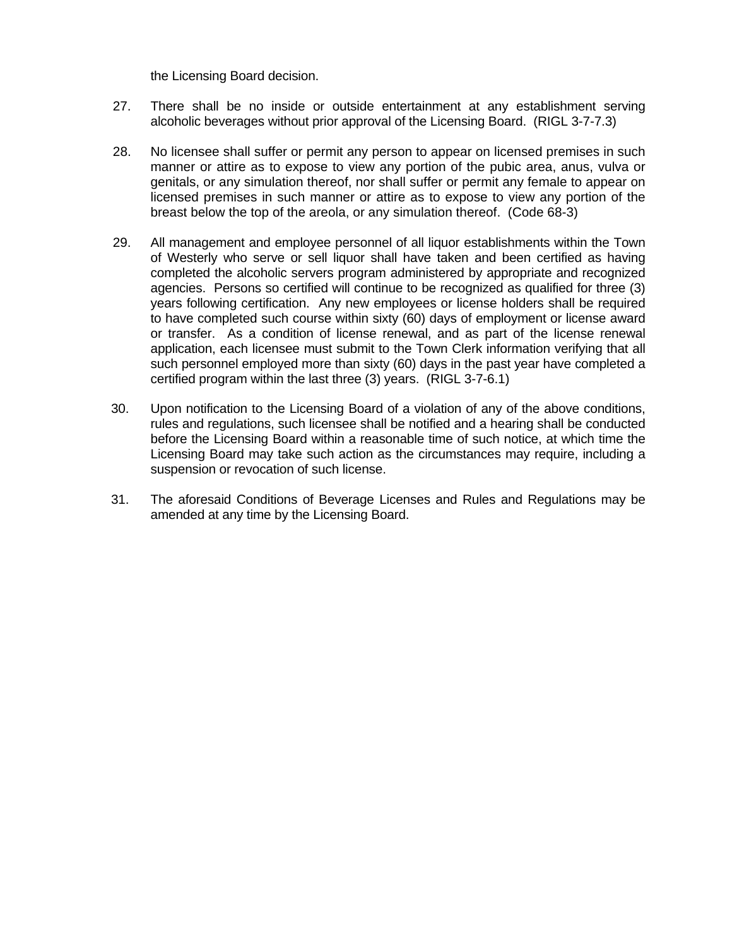the Licensing Board decision.

- 27. There shall be no inside or outside entertainment at any establishment serving alcoholic beverages without prior approval of the Licensing Board. (RIGL 3-7-7.3)
- 28. No licensee shall suffer or permit any person to appear on licensed premises in such manner or attire as to expose to view any portion of the pubic area, anus, vulva or genitals, or any simulation thereof, nor shall suffer or permit any female to appear on licensed premises in such manner or attire as to expose to view any portion of the breast below the top of the areola, or any simulation thereof. (Code 68-3)
- 29. All management and employee personnel of all liquor establishments within the Town of Westerly who serve or sell liquor shall have taken and been certified as having completed the alcoholic servers program administered by appropriate and recognized agencies. Persons so certified will continue to be recognized as qualified for three (3) years following certification. Any new employees or license holders shall be required to have completed such course within sixty (60) days of employment or license award or transfer. As a condition of license renewal, and as part of the license renewal application, each licensee must submit to the Town Clerk information verifying that all such personnel employed more than sixty (60) days in the past year have completed a certified program within the last three (3) years. (RIGL 3-7-6.1)
- 30. Upon notification to the Licensing Board of a violation of any of the above conditions, rules and regulations, such licensee shall be notified and a hearing shall be conducted before the Licensing Board within a reasonable time of such notice, at which time the Licensing Board may take such action as the circumstances may require, including a suspension or revocation of such license.
- 31. The aforesaid Conditions of Beverage Licenses and Rules and Regulations may be amended at any time by the Licensing Board.